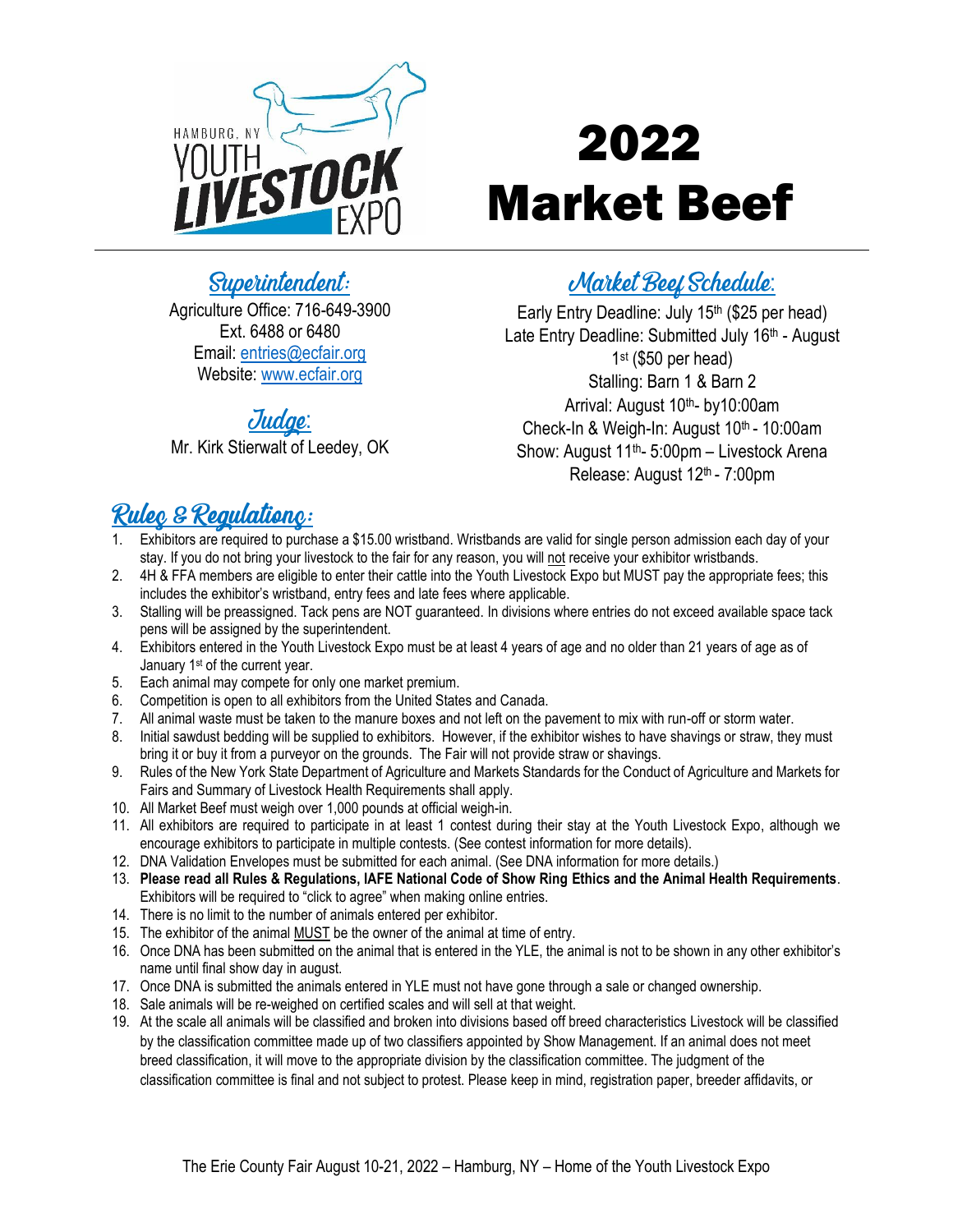

# 2022 Market Beef

### Superintendent:

Agriculture Office: 716-649-3900 Ext. 6488 or 6480 Email: [entries@ecfair.org](mailto:entries@ecfair.org) Website: [www.ecfair.org](http://www.ecfair.org/)

#### Judge:

Mr. Kirk Stierwalt of Leedey, OK

# **Market Beef Schedule:**

Early Entry Deadline: July 15<sup>th</sup> (\$25 per head) Late Entry Deadline: Submitted July 16<sup>th</sup> - August 1 st (\$50 per head) Stalling: Barn 1 & Barn 2 Arrival: August 10<sup>th</sup>- by10:00am Check-In & Weigh-In: August 10<sup>th</sup> - 10:00am Show: August 11<sup>th</sup>- 5:00pm - Livestock Arena Release: August 12<sup>th</sup> - 7:00pm

## Rulec & Regulationc:

- Exhibitors are required to purchase a \$15.00 wristband. Wristbands are valid for single person admission each day of your stay. If you do not bring your livestock to the fair for any reason, you will not receive your exhibitor wristbands.
- 2. 4H & FFA members are eligible to enter their cattle into the Youth Livestock Expo but MUST pay the appropriate fees; this includes the exhibitor's wristband, entry fees and late fees where applicable.
- 3. Stalling will be preassigned. Tack pens are NOT guaranteed. In divisions where entries do not exceed available space tack pens will be assigned by the superintendent.
- 4. Exhibitors entered in the Youth Livestock Expo must be at least 4 years of age and no older than 21 years of age as of January 1st of the current year.
- 5. Each animal may compete for only one market premium.
- 6. Competition is open to all exhibitors from the United States and Canada.
- 7. All animal waste must be taken to the manure boxes and not left on the pavement to mix with run-off or storm water.
- 8. Initial sawdust bedding will be supplied to exhibitors. However, if the exhibitor wishes to have shavings or straw, they must bring it or buy it from a purveyor on the grounds. The Fair will not provide straw or shavings.
- 9. Rules of the New York State Department of Agriculture and Markets Standards for the Conduct of Agriculture and Markets for Fairs and Summary of Livestock Health Requirements shall apply.
- 10. All Market Beef must weigh over 1,000 pounds at official weigh-in.
- 11. All exhibitors are required to participate in at least 1 contest during their stay at the Youth Livestock Expo, although we encourage exhibitors to participate in multiple contests. (See contest information for more details).
- 12. DNA Validation Envelopes must be submitted for each animal. (See DNA information for more details.)
- 13. **Please read all Rules & Regulations, IAFE National Code of Show Ring Ethics and the Animal Health Requirements**. Exhibitors will be required to "click to agree" when making online entries.
- 14. There is no limit to the number of animals entered per exhibitor.
- 15. The exhibitor of the animal MUST be the owner of the animal at time of entry.
- 16. Once DNA has been submitted on the animal that is entered in the YLE, the animal is not to be shown in any other exhibitor's name until final show day in august.
- 17. Once DNA is submitted the animals entered in YLE must not have gone through a sale or changed ownership.
- 18. Sale animals will be re-weighed on certified scales and will sell at that weight.
- 19. At the scale all animals will be classified and broken into divisions based off breed characteristics Livestock will be classified by the classification committee made up of two classifiers appointed by Show Management. If an animal does not meet breed classification, it will move to the appropriate division by the classification committee. The judgment of the classification committee is final and not subject to protest. Please keep in mind, registration paper, breeder affidavits, or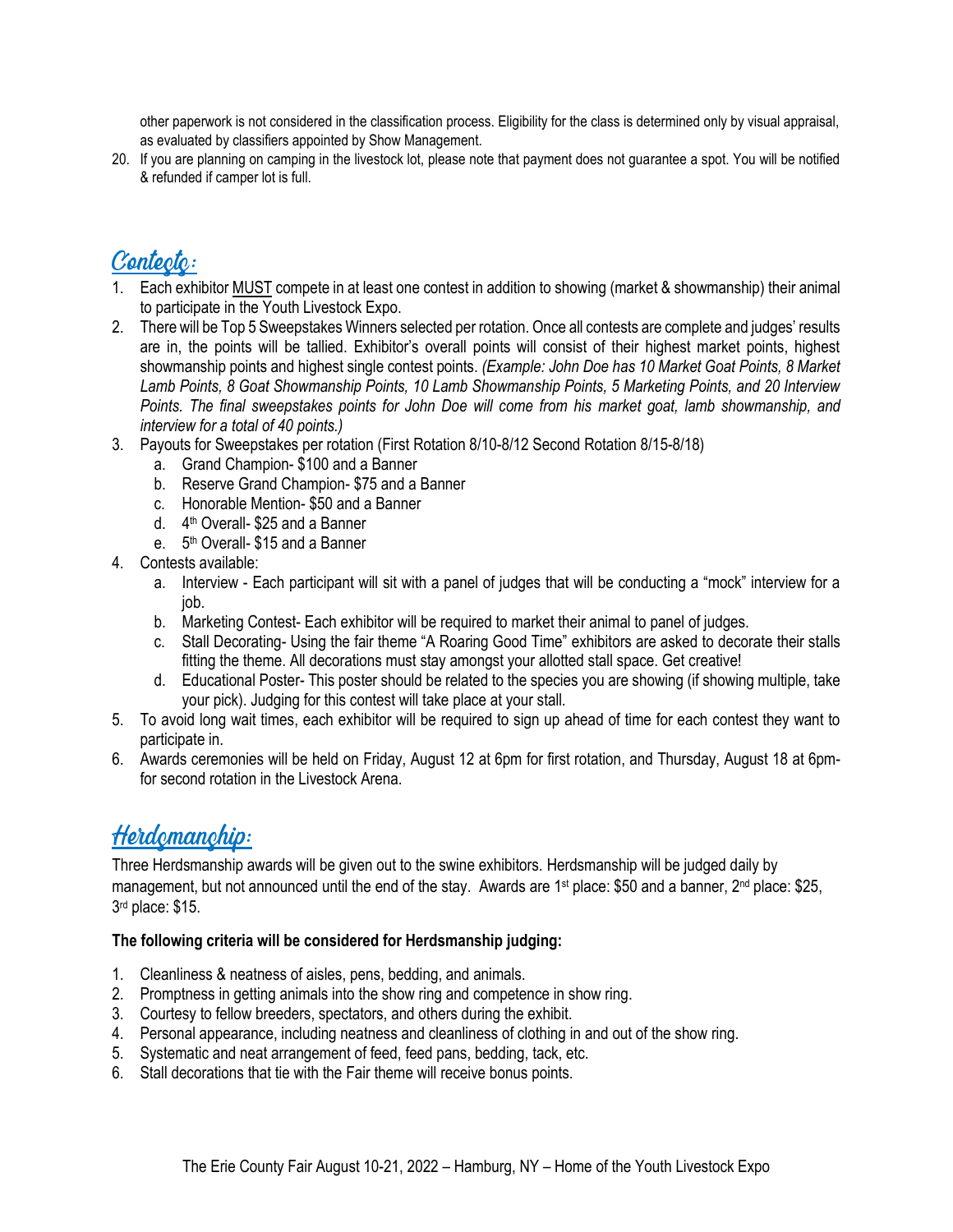other paperwork is not considered in the classification process. Eligibility for the class is determined only by visual appraisal, as evaluated by classifiers appointed by Show Management.

20. If you are planning on camping in the livestock lot, please note that payment does not guarantee a spot. You will be notified & refunded if camper lot is full.

## Contecto:

- 1. Each exhibitor MUST compete in at least one contest in addition to showing (market & showmanship) their animal to participate in the Youth Livestock Expo.
- 2. There will be Top 5 Sweepstakes Winners selected per rotation. Once all contests are complete and judges' results are in, the points will be tallied. Exhibitor's overall points will consist of their highest market points, highest showmanship points and highest single contest points. *(Example: John Doe has 10 Market Goat Points, 8 Market Lamb Points, 8 Goat Showmanship Points, 10 Lamb Showmanship Points, 5 Marketing Points, and 20 Interview Points. The final sweepstakes points for John Doe will come from his market goat, lamb showmanship, and interview for a total of 40 points.)*
- 3. Payouts for Sweepstakes per rotation (First Rotation 8/10-8/12 Second Rotation 8/15-8/18)
	- a. Grand Champion- \$100 and a Banner
	- b. Reserve Grand Champion- \$75 and a Banner
	- c. Honorable Mention- \$50 and a Banner
	- d. 4<sup>th</sup> Overall- \$25 and a Banner
	- e. 5<sup>th</sup> Overall- \$15 and a Banner
- 4. Contests available:
	- a. Interview Each participant will sit with a panel of judges that will be conducting a "mock" interview for a job.
	- b. Marketing Contest- Each exhibitor will be required to market their animal to panel of judges.
	- c. Stall Decorating- Using the fair theme "A Roaring Good Time" exhibitors are asked to decorate their stalls fitting the theme. All decorations must stay amongst your allotted stall space. Get creative!
	- d. Educational Poster- This poster should be related to the species you are showing (if showing multiple, take your pick). Judging for this contest will take place at your stall.
- 5. To avoid long wait times, each exhibitor will be required to sign up ahead of time for each contest they want to participate in.
- 6. Awards ceremonies will be held on Friday, August 12 at 6pm for first rotation, and Thursday, August 18 at 6pmfor second rotation in the Livestock Arena.

### Herdemanchip:

Three Herdsmanship awards will be given out to the swine exhibitors. Herdsmanship will be judged daily by management, but not announced until the end of the stay. Awards are 1<sup>st</sup> place: \$50 and a banner, 2<sup>nd</sup> place: \$25, 3 rd place: \$15.

#### **The following criteria will be considered for Herdsmanship judging:**

- 1. Cleanliness & neatness of aisles, pens, bedding, and animals.
- 2. Promptness in getting animals into the show ring and competence in show ring.
- 3. Courtesy to fellow breeders, spectators, and others during the exhibit.
- 4. Personal appearance, including neatness and cleanliness of clothing in and out of the show ring.
- 5. Systematic and neat arrangement of feed, feed pans, bedding, tack, etc.
- 6. Stall decorations that tie with the Fair theme will receive bonus points.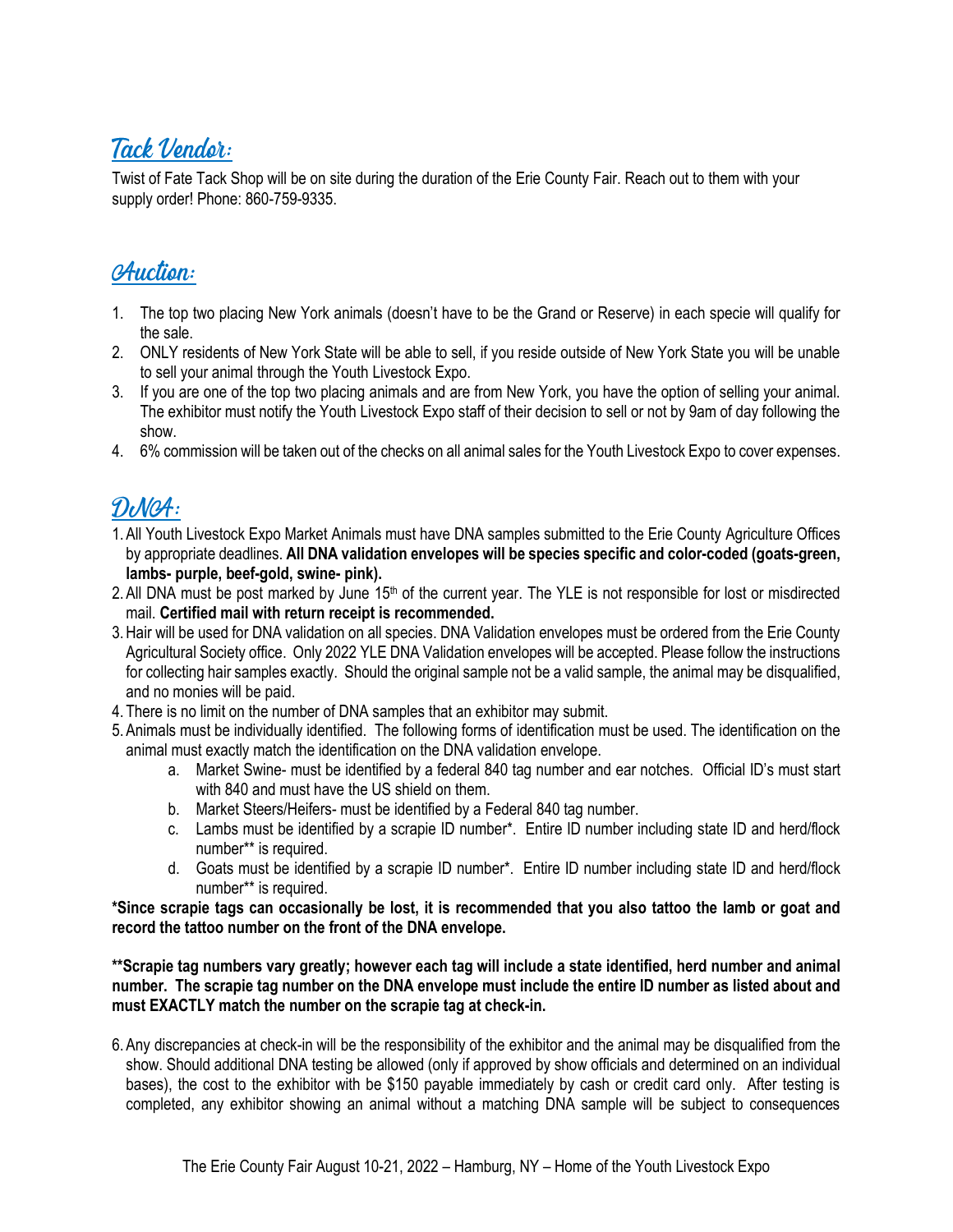#### Tack Vendor:

Twist of Fate Tack Shop will be on site during the duration of the Erie County Fair. Reach out to them with your supply order! Phone: 860-759-9335.

#### **Auction:**

- 1. The top two placing New York animals (doesn't have to be the Grand or Reserve) in each specie will qualify for the sale.
- 2. ONLY residents of New York State will be able to sell, if you reside outside of New York State you will be unable to sell your animal through the Youth Livestock Expo.
- 3. If you are one of the top two placing animals and are from New York, you have the option of selling your animal. The exhibitor must notify the Youth Livestock Expo staff of their decision to sell or not by 9am of day following the show.
- 4. 6% commission will be taken out of the checks on all animal sales for the Youth Livestock Expo to cover expenses.

#### DUGA:

- 1.All Youth Livestock Expo Market Animals must have DNA samples submitted to the Erie County Agriculture Offices by appropriate deadlines. **All DNA validation envelopes will be species specific and color-coded (goats-green, lambs- purple, beef-gold, swine- pink).**
- 2. All DNA must be post marked by June 15<sup>th</sup> of the current year. The YLE is not responsible for lost or misdirected mail. **Certified mail with return receipt is recommended.**
- 3.Hair will be used for DNA validation on all species. DNA Validation envelopes must be ordered from the Erie County Agricultural Society office. Only 2022 YLE DNA Validation envelopes will be accepted. Please follow the instructions for collecting hair samples exactly. Should the original sample not be a valid sample, the animal may be disqualified, and no monies will be paid.
- 4. There is no limit on the number of DNA samples that an exhibitor may submit.
- 5.Animals must be individually identified. The following forms of identification must be used. The identification on the animal must exactly match the identification on the DNA validation envelope.
	- a. Market Swine- must be identified by a federal 840 tag number and ear notches. Official ID's must start with 840 and must have the US shield on them.
	- b. Market Steers/Heifers- must be identified by a Federal 840 tag number.
	- c. Lambs must be identified by a scrapie ID number\*. Entire ID number including state ID and herd/flock number\*\* is required.
	- d. Goats must be identified by a scrapie ID number\*. Entire ID number including state ID and herd/flock number\*\* is required.

**\*Since scrapie tags can occasionally be lost, it is recommended that you also tattoo the lamb or goat and record the tattoo number on the front of the DNA envelope.**

**\*\*Scrapie tag numbers vary greatly; however each tag will include a state identified, herd number and animal number. The scrapie tag number on the DNA envelope must include the entire ID number as listed about and must EXACTLY match the number on the scrapie tag at check-in.** 

6.Any discrepancies at check-in will be the responsibility of the exhibitor and the animal may be disqualified from the show. Should additional DNA testing be allowed (only if approved by show officials and determined on an individual bases), the cost to the exhibitor with be \$150 payable immediately by cash or credit card only. After testing is completed, any exhibitor showing an animal without a matching DNA sample will be subject to consequences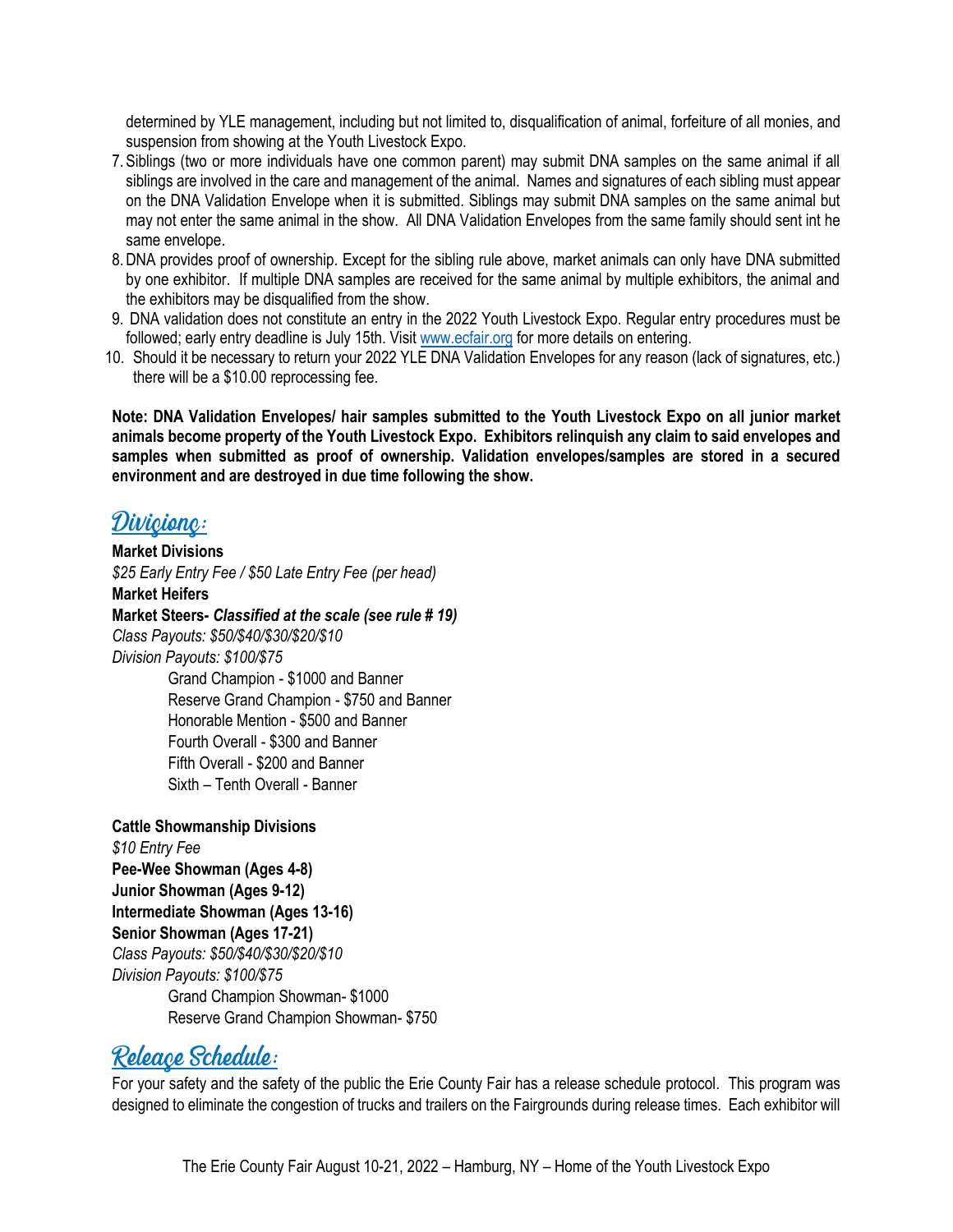determined by YLE management, including but not limited to, disqualification of animal, forfeiture of all monies, and suspension from showing at the Youth Livestock Expo.

- 7.Siblings (two or more individuals have one common parent) may submit DNA samples on the same animal if all siblings are involved in the care and management of the animal. Names and signatures of each sibling must appear on the DNA Validation Envelope when it is submitted. Siblings may submit DNA samples on the same animal but may not enter the same animal in the show. All DNA Validation Envelopes from the same family should sent int he same envelope.
- 8.DNA provides proof of ownership. Except for the sibling rule above, market animals can only have DNA submitted by one exhibitor. If multiple DNA samples are received for the same animal by multiple exhibitors, the animal and the exhibitors may be disqualified from the show.
- 9. DNA validation does not constitute an entry in the 2022 Youth Livestock Expo. Regular entry procedures must be followed; early entry deadline is July 15th. Visit [www.ecfair.org](http://www.ecfair.org/) for more details on entering.
- 10. Should it be necessary to return your 2022 YLE DNA Validation Envelopes for any reason (lack of signatures, etc.) there will be a \$10.00 reprocessing fee.

**Note: DNA Validation Envelopes/ hair samples submitted to the Youth Livestock Expo on all junior market animals become property of the Youth Livestock Expo. Exhibitors relinquish any claim to said envelopes and samples when submitted as proof of ownership. Validation envelopes/samples are stored in a secured environment and are destroyed in due time following the show.** 

#### Divicionc:

**Market Divisions** *\$25 Early Entry Fee / \$50 Late Entry Fee (per head)* **Market Heifers Market Steers-** *Classified at the scale (see rule # 19) Class Payouts: \$50/\$40/\$30/\$20/\$10 Division Payouts: \$100/\$75* Grand Champion - \$1000 and Banner Reserve Grand Champion - \$750 and Banner

Honorable Mention - \$500 and Banner Fourth Overall - \$300 and Banner Fifth Overall - \$200 and Banner Sixth – Tenth Overall - Banner

**Cattle Showmanship Divisions** *\$10 Entry Fee* **Pee-Wee Showman (Ages 4-8) Junior Showman (Ages 9-12) Intermediate Showman (Ages 13-16) Senior Showman (Ages 17-21)**  *Class Payouts: \$50/\$40/\$30/\$20/\$10 Division Payouts: \$100/\$75* Grand Champion Showman- \$1000 Reserve Grand Champion Showman- \$750

#### Releace Schedule:

For your safety and the safety of the public the Erie County Fair has a release schedule protocol. This program was designed to eliminate the congestion of trucks and trailers on the Fairgrounds during release times. Each exhibitor will